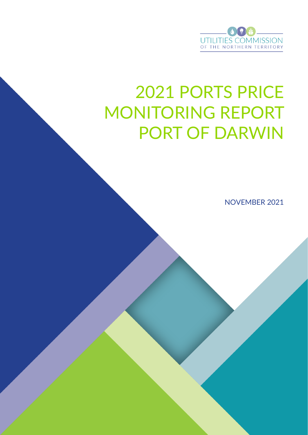

# 2021 PORTS PRICE MONITORING REPORT PORT OF DARWIN

NOVEMBER 2021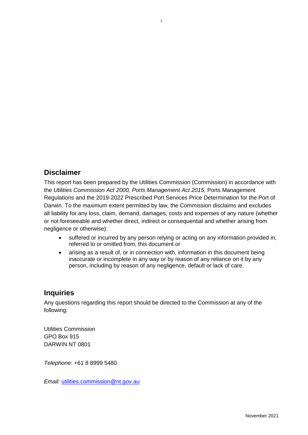## **Disclaimer**

This report has been prepared by the Utilities Commission (Commission) in accordance with the *Utilities Commission Act 2000, Ports Management Act 2015*, Ports Management Regulations and the 2019-2022 Prescribed Port Services Price Determination for the Port of Darwin. To the maximum extent permitted by law, the Commission disclaims and excludes all liability for any loss, claim, demand, damages, costs and expenses of any nature (whether or not foreseeable and whether direct, indirect or consequential and whether arising from negligence or otherwise):

i

- suffered or incurred by any person relying or acting on any information provided in, referred to or omitted from, this document or
- arising as a result of, or in connection with, information in this document being inaccurate or incomplete in any way or by reason of any reliance on it by any person, including by reason of any negligence, default or lack of care.

#### **Inquiries**

Any questions regarding this report should be directed to the Commission at any of the following:

Utilities Commission GPO Box 915 DARWIN NT 0801

*Telephone*: +61 8 8999 5480

*Email:* [utilities.commission@nt.gov.au](mailto:utilities.commission@nt.gov.au)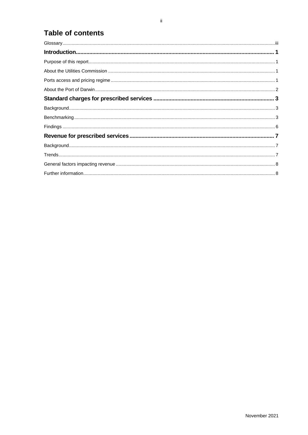# **Table of contents**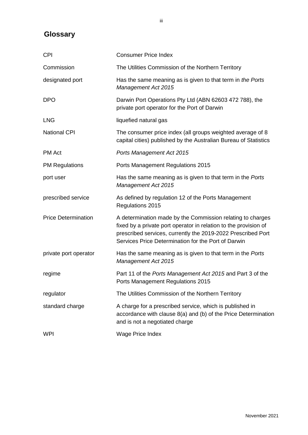## <span id="page-3-0"></span>**Glossary**

| <b>CPI</b>                 | <b>Consumer Price Index</b>                                                                                                                                                                                                                           |  |
|----------------------------|-------------------------------------------------------------------------------------------------------------------------------------------------------------------------------------------------------------------------------------------------------|--|
| Commission                 | The Utilities Commission of the Northern Territory                                                                                                                                                                                                    |  |
| designated port            | Has the same meaning as is given to that term in the Ports<br><b>Management Act 2015</b>                                                                                                                                                              |  |
| <b>DPO</b>                 | Darwin Port Operations Pty Ltd (ABN 62603 472 788), the<br>private port operator for the Port of Darwin                                                                                                                                               |  |
| <b>LNG</b>                 | liquefied natural gas                                                                                                                                                                                                                                 |  |
| <b>National CPI</b>        | The consumer price index (all groups weighted average of 8<br>capital cities) published by the Australian Bureau of Statistics                                                                                                                        |  |
| <b>PM Act</b>              | Ports Management Act 2015                                                                                                                                                                                                                             |  |
| <b>PM Regulations</b>      | Ports Management Regulations 2015                                                                                                                                                                                                                     |  |
| port user                  | Has the same meaning as is given to that term in the Ports<br><b>Management Act 2015</b>                                                                                                                                                              |  |
| prescribed service         | As defined by regulation 12 of the Ports Management<br>Regulations 2015                                                                                                                                                                               |  |
| <b>Price Determination</b> | A determination made by the Commission relating to charges<br>fixed by a private port operator in relation to the provision of<br>prescribed services, currently the 2019-2022 Prescribed Port<br>Services Price Determination for the Port of Darwin |  |
| private port operator      | Has the same meaning as is given to that term in the Ports<br><b>Management Act 2015</b>                                                                                                                                                              |  |
| regime                     | Part 11 of the Ports Management Act 2015 and Part 3 of the<br>Ports Management Regulations 2015                                                                                                                                                       |  |
| regulator                  | The Utilities Commission of the Northern Territory                                                                                                                                                                                                    |  |
| standard charge            | A charge for a prescribed service, which is published in<br>accordance with clause 8(a) and (b) of the Price Determination<br>and is not a negotiated charge                                                                                          |  |
| <b>WPI</b>                 | Wage Price Index                                                                                                                                                                                                                                      |  |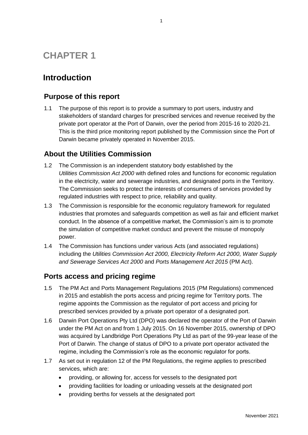# **CHAPTER 1**

# <span id="page-4-0"></span>**Introduction**

## <span id="page-4-1"></span>**Purpose of this report**

1.1 The purpose of this report is to provide a summary to port users, industry and stakeholders of standard charges for prescribed services and revenue received by the private port operator at the Port of Darwin, over the period from 2015-16 to 2020-21. This is the third price monitoring report published by the Commission since the Port of Darwin became privately operated in November 2015.

1

## <span id="page-4-2"></span>**About the Utilities Commission**

- 1.2 The Commission is an independent statutory body established by the *Utilities Commission Act 2000* with defined roles and functions for economic regulation in the electricity, water and sewerage industries, and designated ports in the Territory. The Commission seeks to protect the interests of consumers of services provided by regulated industries with respect to price, reliability and quality.
- 1.3 The Commission is responsible for the economic regulatory framework for regulated industries that promotes and safeguards competition as well as fair and efficient market conduct. In the absence of a competitive market, the Commission's aim is to promote the simulation of competitive market conduct and prevent the misuse of monopoly power.
- 1.4 The Commission has functions under various Acts (and associated regulations) including the *Utilities Commission Act 2000, Electricity Reform Act 2000, Water Supply and Sewerage Services Act 2000* and *Ports Management Act 2015* (PM Act).

## <span id="page-4-3"></span>**Ports access and pricing regime**

- 1.5 The PM Act and Ports Management Regulations 2015 (PM Regulations) commenced in 2015 and establish the ports access and pricing regime for Territory ports. The regime appoints the Commission as the regulator of port access and pricing for prescribed services provided by a private port operator of a designated port.
- 1.6 Darwin Port Operations Pty Ltd (DPO) was declared the operator of the Port of Darwin under the PM Act on and from 1 July 2015. On 16 November 2015, ownership of DPO was acquired by Landbridge Port Operations Pty Ltd as part of the 99-year lease of the Port of Darwin. The change of status of DPO to a private port operator activated the regime, including the Commission's role as the economic regulator for ports.
- 1.7 As set out in regulation 12 of the PM Regulations, the regime applies to prescribed services, which are:
	- providing, or allowing for, access for vessels to the designated port
	- providing facilities for loading or unloading vessels at the designated port
	- providing berths for vessels at the designated port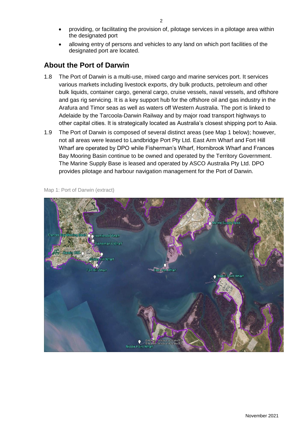- providing, or facilitating the provision of, pilotage services in a pilotage area within the designated port
- allowing entry of persons and vehicles to any land on which port facilities of the designated port are located.

### <span id="page-5-0"></span>**About the Port of Darwin**

- 1.8 The Port of Darwin is a multi-use, mixed cargo and marine services port. It services various markets including livestock exports, dry bulk products, petroleum and other bulk liquids, container cargo, general cargo, cruise vessels, naval vessels, and offshore and gas rig servicing. It is a key support hub for the offshore oil and gas industry in the Arafura and Timor seas as well as waters off Western Australia. The port is linked to Adelaide by the Tarcoola-Darwin Railway and by major road transport highways to other capital cities. It is strategically located as Australia's closest shipping port to Asia.
- 1.9 The Port of Darwin is composed of several distinct areas (see Map 1 below); however, not all areas were leased to Landbridge Port Pty Ltd. East Arm Wharf and Fort Hill Wharf are operated by DPO while Fisherman's Wharf, Hornibrook Wharf and Frances Bay Mooring Basin continue to be owned and operated by the Territory Government. The Marine Supply Base is leased and operated by ASCO Australia Pty Ltd. DPO provides pilotage and harbour navigation management for the Port of Darwin.



Map 1: Port of Darwin (extract)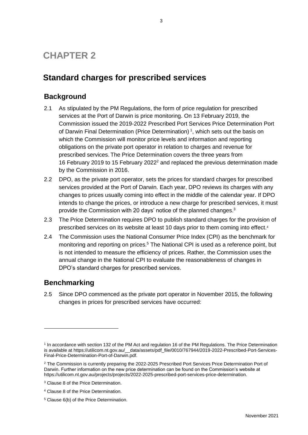# **CHAPTER 2**

# <span id="page-6-0"></span>**Standard charges for prescribed services**

## <span id="page-6-1"></span>**Background**

- 2.1 As stipulated by the PM Regulations, the form of price regulation for prescribed services at the Port of Darwin is price monitoring. On 13 February 2019, the Commission issued the 2019-2022 Prescribed Port Services Price Determination Port of Darwin Final Determination (Price Determination)<sup>1</sup>, which sets out the basis on which the Commission will monitor price levels and information and reporting obligations on the private port operator in relation to charges and revenue for prescribed services. The Price Determination covers the three years from 16 February 2019 to 15 February 2022<sup>2</sup> and replaced the previous determination made by the Commission in 2016.
- 2.2 DPO, as the private port operator, sets the prices for standard charges for prescribed services provided at the Port of Darwin. Each year, DPO reviews its charges with any changes to prices usually coming into effect in the middle of the calendar year. If DPO intends to change the prices, or introduce a new charge for prescribed services, it must provide the Commission with 20 days' notice of the planned changes. 3
- 2.3 The Price Determination requires DPO to publish standard charges for the provision of prescribed services on its website at least 10 days prior to them coming into effect.<sup>4</sup>
- 2.4 The Commission uses the National Consumer Price Index (CPI) as the benchmark for monitoring and reporting on prices.<sup>5</sup> The National CPI is used as a reference point, but is not intended to measure the efficiency of prices. Rather, the Commission uses the annual change in the National CPI to evaluate the reasonableness of changes in DPO's standard charges for prescribed services.

## <span id="page-6-2"></span>**Benchmarking**

1

2.5 Since DPO commenced as the private port operator in November 2015, the following changes in prices for prescribed services have occurred:

<sup>1</sup> In accordance with section 132 of the PM Act and regulation 16 of the PM Regulations. The Price Determination is available at https://utilicom.nt.gov.au/\_\_data/assets/pdf\_file/0010/767944/2019-2022-Prescribed-Port-Services-Final-Price-Determination-Port-of-Darwin.pdf.

<sup>&</sup>lt;sup>2</sup> The Commission is currently preparing the 2022-2025 Prescribed Port Services Price Determination Port of Darwin. Further information on the new price determination can be found on the Commission's website at https://utilicom.nt.gov.au/projects/projects/2022-2025-prescribed-port-services-price-determination.

<sup>&</sup>lt;sup>3</sup> Clause 8 of the Price Determination.

<sup>4</sup> Clause 8 of the Price Determination.

<sup>5</sup> Clause 6(b) of the Price Determination.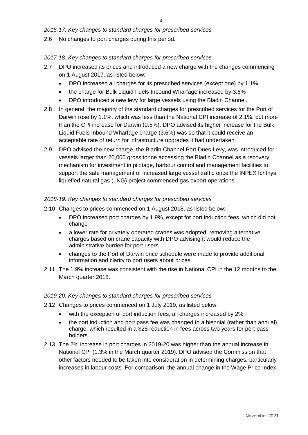#### *2016-17: Key changes to standard charges for prescribed services*

2.6 No changes to port charges during this period.

#### *2017-18: Key changes to standard charges for prescribed services*

- 2.7 DPO increased its prices and introduced a new charge with the changes commencing on 1 August 2017, as listed below:
	- DPO increased all charges for its prescribed services (except one) by 1.1%
	- the charge for Bulk Liquid Fuels Inbound Wharfage increased by 3.6%
	- DPO introduced a new levy for large vessels using the Bladin Channel.
- 2.8 In general, the majority of the standard charges for prescribed services for the Port of Darwin rose by 1.1%, which was less than the National CPI increase of 2.1%, but more than the CPI increase for Darwin (0.5%). DPO advised its higher increase for the Bulk Liquid Fuels Inbound Wharfage charge (3.6%) was so that it could receive an acceptable rate of return for infrastructure upgrades it had undertaken.
- 2.9 DPO advised the new charge, the Bladin Channel Port Dues Levy, was introduced for vessels larger than 20,000 gross tonne accessing the Bladin Channel as a recovery mechanism for investment in pilotage, harbour control and management facilities to support the safe management of increased large vessel traffic once the INPEX Ichthys liquefied natural gas (LNG) project commenced gas export operations.

#### *2018-19: Key changes to standard charges for prescribed services*

- 2.10 Changes to prices commenced on 1 August 2018, as listed below:
	- DPO increased port charges by 1.9%, except for port induction fees, which did not change
	- a lower rate for privately operated cranes was adopted, removing alternative charges based on crane capacity with DPO advising it would reduce the administrative burden for port users
	- changes to the Port of Darwin price schedule were made to provide additional information and clarity to port users about prices.
- 2.11 The 1.9% increase was consistent with the rise in National CPI in the 12 months to the March quarter 2018.

#### *2019-20: Key changes to standard charges for prescribed services*

- 2.12 Changes to prices commenced on 1 July 2019, as listed below:
	- with the exception of port induction fees, all charges increased by 2%
	- the port induction and port pass fee was changed to a biennial (rather than annual) charge, which resulted in a \$25 reduction in fees across two years for port pass holders.
- 2.13 The 2% increase in port charges in 2019-20 was higher than the annual increase in National CPI (1.3% in the March quarter 2019). DPO advised the Commission that other factors needed to be taken into consideration in determining charges, particularly increases in labour costs. For comparison, the annual change in the Wage Price Index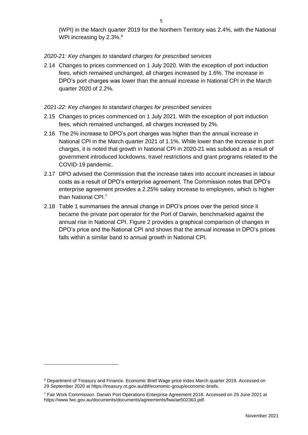(WPI) in the March quarter 2019 for the Northern Territory was 2.4%, with the National WPI increasing by 2.3%. $^{\rm 6}$ 

#### *2020-21: Key changes to standard charges for prescribed services*

2.14 Changes to prices commenced on 1 July 2020. With the exception of port induction fees, which remained unchanged, all charges increased by 1.6%. The increase in DPO's port charges was lower than the annual increase in National CPI in the March quarter 2020 of 2.2%.

#### *2021-22: Key changes to standard charges for prescribed services*

- 2.15 Changes to prices commenced on 1 July 2021. With the exception of port induction fees, which remained unchanged, all charges increased by 2%.
- 2.16 The 2% increase to DPO's port charges was higher than the annual increase in National CPI in the March quarter 2021 of 1.1%. While lower than the increase in port charges, it is noted that growth in National CPI in 2020-21 was subdued as a result of government introduced lockdowns, travel restrictions and grant programs related to the COVID-19 pandemic.
- 2.17 DPO advised the Commission that the increase takes into account increases in labour costs as a result of DPO's enterprise agreement. The Commission notes that DPO's enterprise agreement provides a 2.25% salary increase to employees, which is higher than National CPI.<sup>7</sup>
- 2.18 [Table 1](#page-9-1) summarises the annual change in DPO's prices over the period since it became the private port operator for the Port of Darwin, benchmarked against the annual rise in National CPI. [Figure 2](#page-10-3) provides a graphical comparison of changes in DPO's price and the National CPI and shows that the annual increase in DPO's prices falls within a similar band to annual growth in National CPI.

-

<sup>6</sup> Department of Treasury and Finance. Economic Brief Wage price index March quarter 2019. Accessed on 29 September 2020 at https://treasury.nt.gov.au/dtf/economic-group/economic-briefs.

<sup>7</sup> Fair Work Commission. Darwin Port Operations Enterprise Agreement 2018. Accessed on 29 June 2021 at https://www.fwc.gov.au/documents/documents/agreements/fwa/ae502363.pdf.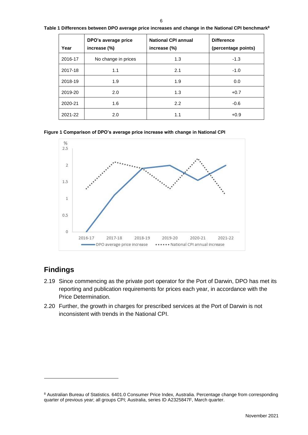<span id="page-9-1"></span>

|  |  | Table 1 Differences between DPO average price increases and change in the National CPI benchmark $^{\rm a}$ |
|--|--|-------------------------------------------------------------------------------------------------------------|
|--|--|-------------------------------------------------------------------------------------------------------------|

| Year    | DPO's average price<br>increase (%) | <b>National CPI annual</b><br>increase (%) | <b>Difference</b><br>(percentage points) |
|---------|-------------------------------------|--------------------------------------------|------------------------------------------|
| 2016-17 | No change in prices                 | 1.3                                        | $-1.3$                                   |
| 2017-18 | 1.1                                 | 2.1                                        | $-1.0$                                   |
| 2018-19 | 1.9                                 | 1.9                                        | 0.0                                      |
| 2019-20 | 2.0                                 | 1.3                                        | $+0.7$                                   |
| 2020-21 | 1.6                                 | 2.2                                        | $-0.6$                                   |
| 2021-22 | 2.0                                 | 1.1                                        | $+0.9$                                   |





## <span id="page-9-0"></span>**Findings**

1

- 2.19 Since commencing as the private port operator for the Port of Darwin, DPO has met its reporting and publication requirements for prices each year, in accordance with the Price Determination.
- 2.20 Further, the growth in charges for prescribed services at the Port of Darwin is not inconsistent with trends in the National CPI.

<sup>8</sup> Australian Bureau of Statistics. 6401.0 Consumer Price Index, Australia. Percentage change from corresponding quarter of previous year; all groups CPI; Australia, series ID A2325847F, March quarter.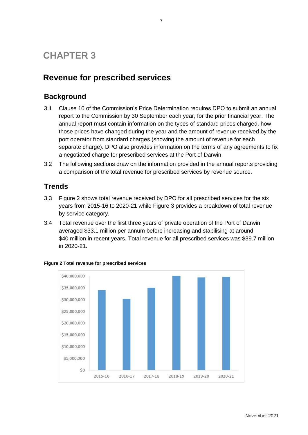# **CHAPTER 3**

# <span id="page-10-0"></span>**Revenue for prescribed services**

## <span id="page-10-1"></span>**Background**

- 3.1 Clause 10 of the Commission's Price Determination requires DPO to submit an annual report to the Commission by 30 September each year, for the prior financial year. The annual report must contain information on the types of standard prices charged, how those prices have changed during the year and the amount of revenue received by the port operator from standard charges (showing the amount of revenue for each separate charge). DPO also provides information on the terms of any agreements to fix a negotiated charge for prescribed services at the Port of Darwin.
- 3.2 The following sections draw on the information provided in the annual reports providing a comparison of the total revenue for prescribed services by revenue source.

## <span id="page-10-2"></span>**Trends**

- 3.3 [Figure 2](#page-10-3) shows total revenue received by DPO for all prescribed services for the six years from 2015-16 to 2020-21 while [Figure 3](#page-11-2) provides a breakdown of total revenue by service category.
- 3.4 Total revenue over the first three years of private operation of the Port of Darwin averaged \$33.1 million per annum before increasing and stabilising at around \$40 million in recent years. Total revenue for all prescribed services was \$39.7 million in 2020-21.



#### <span id="page-10-3"></span>**Figure 2 Total revenue for prescribed services**